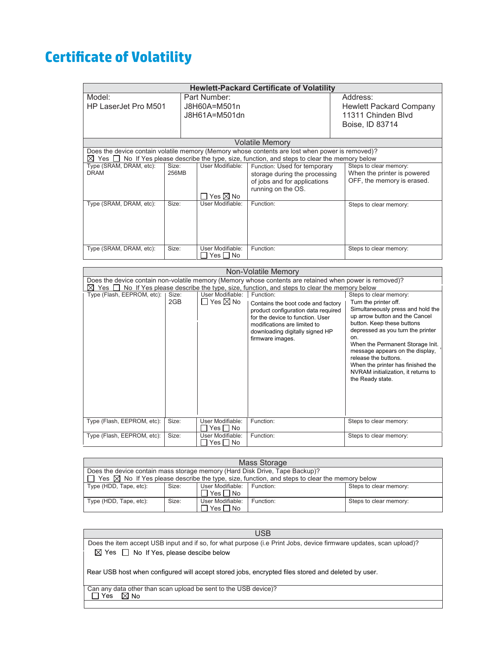## **&ertificate of Volatility**

| <b>Hewlett-Packard Certificate of Volatility</b>                                                                                                                                                       |                |                                               |                                                                                                                     |                                                                                     |  |
|--------------------------------------------------------------------------------------------------------------------------------------------------------------------------------------------------------|----------------|-----------------------------------------------|---------------------------------------------------------------------------------------------------------------------|-------------------------------------------------------------------------------------|--|
| Model:<br>HP LaserJet Pro M501                                                                                                                                                                         |                | Part Number:<br>J8H60A=M501n<br>J8H61A=M501dn |                                                                                                                     | Address:<br>Hewlett Packard Company<br>11311 Chinden Blvd<br>Boise, ID 83714        |  |
| Volatile Memorv                                                                                                                                                                                        |                |                                               |                                                                                                                     |                                                                                     |  |
| Does the device contain volatile memory (Memory whose contents are lost when power is removed)?<br>No If Yes please describe the type, size, function, and steps to clear the memory below<br>⊠<br>Yes |                |                                               |                                                                                                                     |                                                                                     |  |
| Type (SRAM, DRAM, etc):<br><b>DRAM</b>                                                                                                                                                                 | Size:<br>256MB | User Modifiable:<br>Yes $\boxtimes$ No        | Function: Used for temporary<br>storage during the processing<br>of jobs and for applications<br>running on the OS. | Steps to clear memory:<br>When the printer is powered<br>OFF, the memory is erased. |  |
| Type (SRAM, DRAM, etc):                                                                                                                                                                                | Size:          | User Modifiable:                              | Function:                                                                                                           | Steps to clear memory:                                                              |  |
| Type (SRAM, DRAM, etc):                                                                                                                                                                                | Size:          | User Modifiable:<br>Yes I INo                 | Function:                                                                                                           | Steps to clear memory:                                                              |  |

| Non-Volatile Memory                                                                                     |              |                                               |                                                                                                                                                                                                                   |                                                                                                                                                                                                                                                                                                                                                                                                 |
|---------------------------------------------------------------------------------------------------------|--------------|-----------------------------------------------|-------------------------------------------------------------------------------------------------------------------------------------------------------------------------------------------------------------------|-------------------------------------------------------------------------------------------------------------------------------------------------------------------------------------------------------------------------------------------------------------------------------------------------------------------------------------------------------------------------------------------------|
| Does the device contain non-volatile memory (Memory whose contents are retained when power is removed)? |              |                                               |                                                                                                                                                                                                                   |                                                                                                                                                                                                                                                                                                                                                                                                 |
| No If Yes please describe the type, size, function, and steps to clear the memory below<br>Yes I<br>M   |              |                                               |                                                                                                                                                                                                                   |                                                                                                                                                                                                                                                                                                                                                                                                 |
| Type (Flash, EEPROM, etc):                                                                              | Size:<br>2GB | User Modifiable:<br>$\Box$ Yes $\boxtimes$ No | Function:<br>Contains the boot code and factory<br>product configuration data required<br>for the device to function. User<br>modifications are limited to<br>downloading digitally signed HP<br>firmware images. | Steps to clear memory:<br>Turn the printer off.<br>Simultaneously press and hold the<br>up arrow button and the Cancel<br>button. Keep these buttons<br>depressed as you turn the printer<br>on.<br>When the Permanent Storage Init.<br>message appears on the display,<br>release the buttons.<br>When the printer has finished the<br>NVRAM initialization, it returns to<br>the Ready state. |
| Type (Flash, EEPROM, etc):                                                                              | Size:        | User Modifiable:<br>Yes I INo                 | Function:                                                                                                                                                                                                         | Steps to clear memory:                                                                                                                                                                                                                                                                                                                                                                          |
| Type (Flash, EEPROM, etc):                                                                              | Size:        | User Modifiable:<br>Yes    No                 | Function:                                                                                                                                                                                                         | Steps to clear memory:                                                                                                                                                                                                                                                                                                                                                                          |

| Mass Storage                                                                                                   |       |                            |           |                        |
|----------------------------------------------------------------------------------------------------------------|-------|----------------------------|-----------|------------------------|
| Does the device contain mass storage memory (Hard Disk Drive, Tape Backup)?                                    |       |                            |           |                        |
| $\Box$ Yes $\boxtimes$ No If Yes please describe the type, size, function, and steps to clear the memory below |       |                            |           |                        |
| Type (HDD, Tape, etc):                                                                                         | Size: | User Modifiable: Function: |           | Steps to clear memory: |
|                                                                                                                |       | ∏ Yes ∏ No                 |           |                        |
| Type (HDD, Tape, etc):                                                                                         | Size: | User Modifiable:           | Function: | Steps to clear memory: |
|                                                                                                                |       | Yes $\neg$ No              |           |                        |

| <b>USB</b>                                                                                                         |  |  |  |  |
|--------------------------------------------------------------------------------------------------------------------|--|--|--|--|
| Does the item accept USB input and if so, for what purpose (i.e Print Jobs, device firmware updates, scan upload)? |  |  |  |  |
| $\boxtimes$ Yes $\Box$ No If Yes, please descibe below                                                             |  |  |  |  |
| Rear USB host when configured will accept stored jobs, encrypted files stored and deleted by user.                 |  |  |  |  |
| Can any data other than scan upload be sent to the USB device)?<br>$\boxtimes$ No<br>Yes                           |  |  |  |  |
|                                                                                                                    |  |  |  |  |